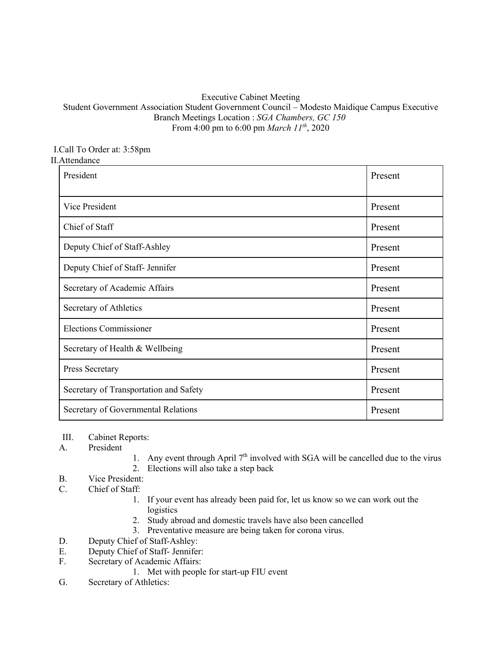## Executive Cabinet Meeting

## Student Government Association Student Government Council – Modesto Maidique Campus Executive Branch Meetings Location : *SGA Chambers, GC 150* From 4:00 pm to 6:00 pm *March 11th*, 2020

## I.Call To Order at: 3:58pm II.Attendance

| President                              | Present |
|----------------------------------------|---------|
| Vice President                         | Present |
| Chief of Staff                         | Present |
| Deputy Chief of Staff-Ashley           | Present |
| Deputy Chief of Staff- Jennifer        | Present |
| Secretary of Academic Affairs          | Present |
| Secretary of Athletics                 | Present |
| <b>Elections Commissioner</b>          | Present |
| Secretary of Health & Wellbeing        | Present |
| Press Secretary                        | Present |
| Secretary of Transportation and Safety | Present |
| Secretary of Governmental Relations    | Present |

- III. Cabinet Reports:
- A. President
- 1. Any event through April  $7<sup>th</sup>$  involved with SGA will be cancelled due to the virus
- 2. Elections will also take a step back
- B. Vice President:
- C. Chief of Staff:
	- 1. If your event has already been paid for, let us know so we can work out the logistics
	- 2. Study abroad and domestic travels have also been cancelled
	- 3. Preventative measure are being taken for corona virus.
- D. Deputy Chief of Staff-Ashley:
- E. Deputy Chief of Staff- Jennifer:
- F. Secretary of Academic Affairs:
	- 1. Met with people for start-up FIU event
- G. Secretary of Athletics: